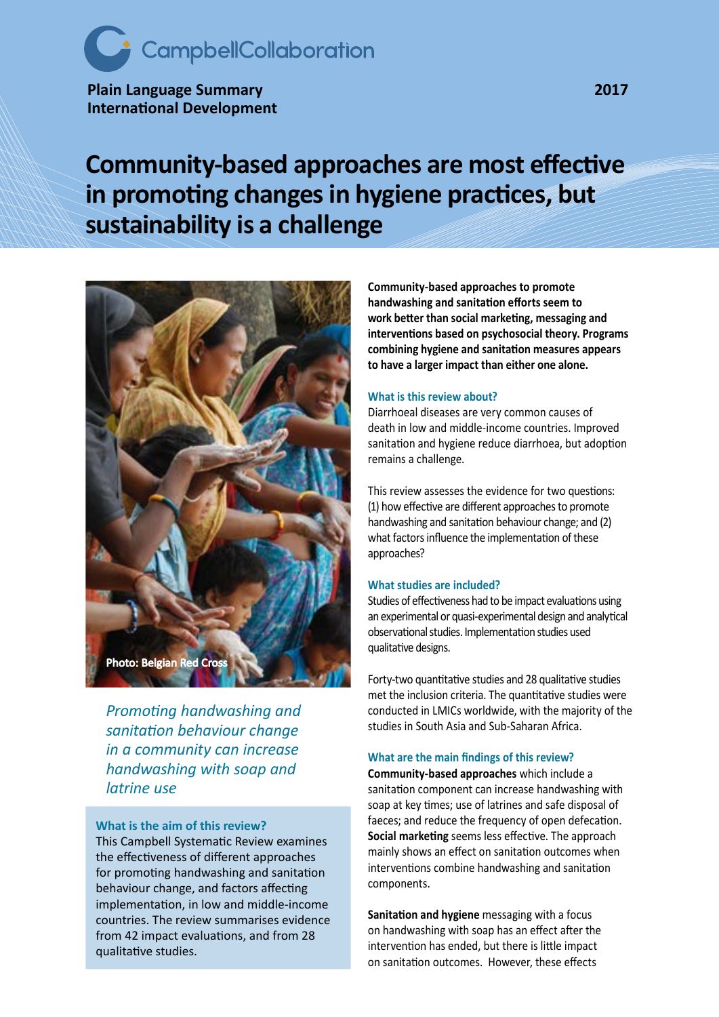# CampbellCollaboration

**Plain Language Summary 2017 International Development**

# **Community-based approaches are most effective in promoting changes in hygiene practices, but sustainability is a challenge**



*Promoting handwashing and sanitation behaviour change in a community can increase handwashing with soap and latrine use*

**What is the aim of this review?** This Campbell Systematic Review examines the effectiveness of different approaches for promoting handwashing and sanitation behaviour change, and factors affecting implementation, in low and middle-income countries. The review summarises evidence from 42 impact evaluations, and from 28 qualitative studies.

**Community-based approaches to promote handwashing and sanitation efforts seem to work better than social marketing, messaging and interventions based on psychosocial theory. Programs combining hygiene and sanitation measures appears to have a larger impact than either one alone.**

## **What is this review about?**

Diarrhoeal diseases are very common causes of death in low and middle-income countries. Improved sanitation and hygiene reduce diarrhoea, but adoption remains a challenge.

This review assesses the evidence for two questions: (1) how effective are different approaches to promote handwashing and sanitation behaviour change; and (2) what factors influence the implementation of these approaches?

# **What studies are included?**

Studies of effectiveness had to be impact evaluations using an experimental or quasi-experimental design and analytical observational studies. Implementation studies used qualitative designs.

Forty-two quantitative studies and 28 qualitative studies met the inclusion criteria. The quantitative studies were conducted in LMICs worldwide, with the majority of the studies in South Asia and Sub-Saharan Africa.

#### **What are the main findings of this review?**

**Community-based approaches** which include a sanitation component can increase handwashing with soap at key times; use of latrines and safe disposal of faeces; and reduce the frequency of open defecation. **Social marketing** seems less effective. The approach mainly shows an effect on sanitation outcomes when interventions combine handwashing and sanitation components.

**Sanitation and hygiene** messaging with a focus on handwashing with soap has an effect after the intervention has ended, but there is little impact on sanitation outcomes. However, these effects